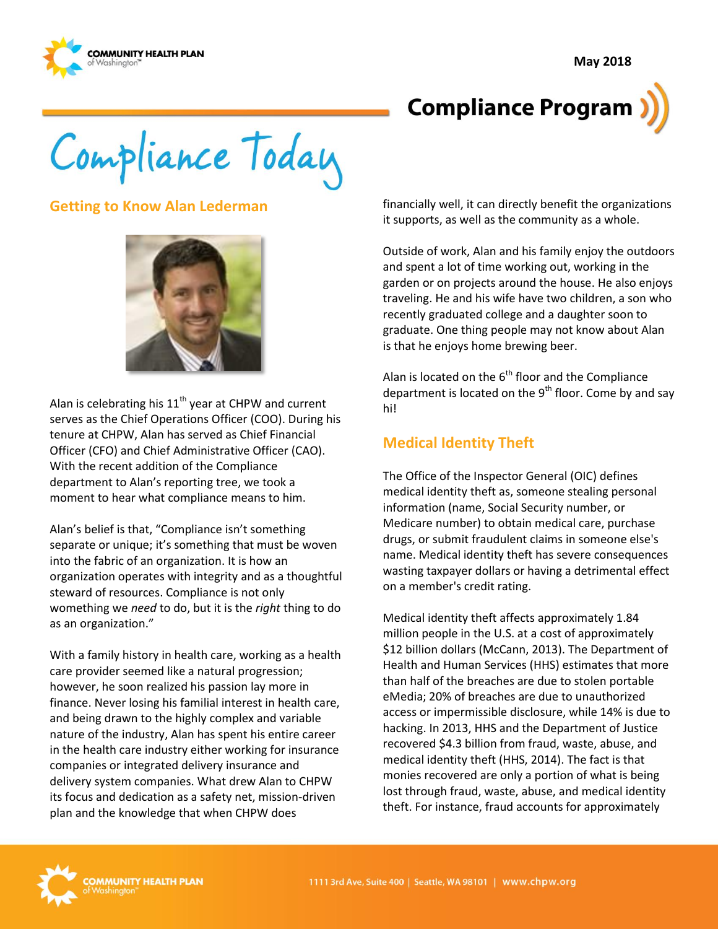**May 2018** 



# **Compliance Program**

Compliance Today

#### **Getting to Know Alan Lederman**



Alan is celebrating his  $11<sup>th</sup>$  year at CHPW and current serves as the Chief Operations Officer (COO). During his tenure at CHPW, Alan has served as Chief Financial Officer (CFO) and Chief Administrative Officer (CAO). With the recent addition of the Compliance department to Alan's reporting tree, we took a moment to hear what compliance means to him.

Alan's belief is that, "Compliance isn't something separate or unique; it's something that must be woven into the fabric of an organization. It is how an organization operates with integrity and as a thoughtful steward of resources. Compliance is not only womething we *need* to do, but it is the *right* thing to do as an organization."

With a family history in health care, working as a health care provider seemed like a natural progression; however, he soon realized his passion lay more in finance. Never losing his familial interest in health care, and being drawn to the highly complex and variable nature of the industry, Alan has spent his entire career in the health care industry either working for insurance companies or integrated delivery insurance and delivery system companies. What drew Alan to CHPW its focus and dedication as a safety net, mission-driven plan and the knowledge that when CHPW does

financially well, it can directly benefit the organizations it supports, as well as the community as a whole.

Outside of work, Alan and his family enjoy the outdoors and spent a lot of time working out, working in the garden or on projects around the house. He also enjoys traveling. He and his wife have two children, a son who recently graduated college and a daughter soon to graduate. One thing people may not know about Alan is that he enjoys home brewing beer.

Alan is located on the  $6<sup>th</sup>$  floor and the Compliance department is located on the  $9<sup>th</sup>$  floor. Come by and say hi!

## **Medical Identity Theft**

The Office of the Inspector General (OIC) defines medical identity theft as, someone stealing personal information (name, Social Security number, or Medicare number) to obtain medical care, purchase drugs, or submit fraudulent claims in someone else's name. Medical identity theft has severe consequences wasting taxpayer dollars or having a detrimental effect on a member's credit rating.

Medical identity theft affects approximately 1.84 million people in the U.S. at a cost of approximately \$12 billion dollars (McCann, 2013). The Department of Health and Human Services (HHS) estimates that more than half of the breaches are due to stolen portable eMedia; 20% of breaches are due to unauthorized access or impermissible disclosure, while 14% is due to hacking. In 2013, HHS and the Department of Justice recovered \$4.3 billion from fraud, waste, abuse, and medical identity theft (HHS, 2014). The fact is that monies recovered are only a portion of what is being lost through fraud, waste, abuse, and medical identity theft. For instance, fraud accounts for approximately

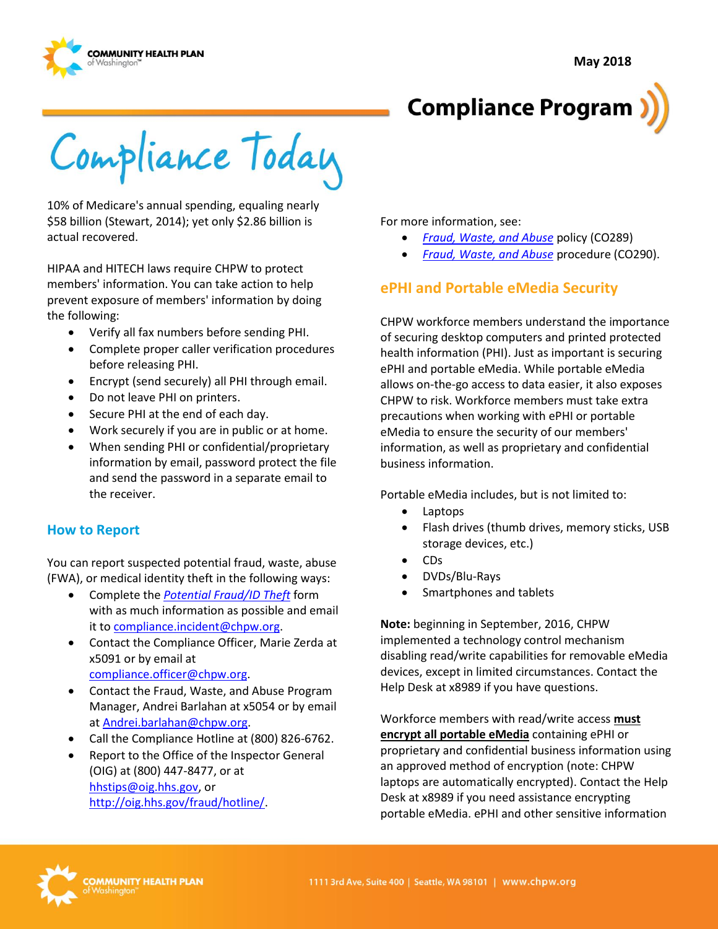



Compliance Today

10% of Medicare's annual spending, equaling nearly \$58 billion (Stewart, 2014); yet only \$2.86 billion is actual recovered.

HIPAA and HITECH laws require CHPW to protect members' information. You can take action to help prevent exposure of members' information by doing the following:

- Verify all fax numbers before sending PHI.
- Complete proper caller verification procedures before releasing PHI.
- Encrypt (send securely) all PHI through email.
- Do not leave PHI on printers.
- Secure PHI at the end of each day.
- Work securely if you are in public or at home.
- When sending PHI or confidential/proprietary information by email, password protect the file and send the password in a separate email to the receiver.

#### **How to Report**

You can report suspected potential fraud, waste, abuse (FWA), or medical identity theft in the following ways:

- Complete the *[Potential Fraud/ID Theft](http://chpsp/Comp/Compliance%20Forms/2017-09%20Form_Internal_Fraud_Reporting.pdf)* form with as much information as possible and email it to [compliance.incident@chpw.org.](mailto:compliance.incident@chpw.org)
- Contact the Compliance Officer, Marie Zerda at x5091 or by email at [compliance.officer@chpw.org.](mailto:compliance.officer@chpw.org)
- Contact the Fraud, Waste, and Abuse Program Manager, Andrei Barlahan at x5054 or by email a[t Andrei.barlahan@chpw.org.](mailto:Andrei.barlahan@chpw.org)
- Call the Compliance Hotline at (800) 826-6762.
- Report to the Office of the Inspector General (OIG) at (800) 447-8477, or at [hhstips@oig.hhs.gov,](mailto:hhstips@oig.hhs.gov) or [http://oig.hhs.gov/fraud/hotline/.](http://oig.hhs.gov/fraud/hotline/)

For more information, see:

- *[Fraud, Waste, and Abuse](http://chpsp/PP/Compliance/Fraud,%20Waste,%20and%20Abuse%20Policy%20-%20CO289.pdf)* policy (CO289)
- *[Fraud, Waste, and Abuse](http://chpsp/PP/Compliance/Fraud,%20Waste,%20and%20Abuse%20Procedure%20-%20CO290.pdf)* procedure (CO290).

### **ePHI and Portable eMedia Security**

CHPW workforce members understand the importance of securing desktop computers and printed protected health information (PHI). Just as important is securing ePHI and portable eMedia. While portable eMedia allows on-the-go access to data easier, it also exposes CHPW to risk. Workforce members must take extra precautions when working with ePHI or portable eMedia to ensure the security of our members' information, as well as proprietary and confidential business information.

Portable eMedia includes, but is not limited to:

- Laptops
- Flash drives (thumb drives, memory sticks, USB storage devices, etc.)
- CDs
- DVDs/Blu-Rays
- Smartphones and tablets

**Note:** beginning in September, 2016, CHPW implemented a technology control mechanism disabling read/write capabilities for removable eMedia devices, except in limited circumstances. Contact the Help Desk at x8989 if you have questions.

Workforce members with read/write access **must encrypt all portable eMedia** containing ePHI or proprietary and confidential business information using an approved method of encryption (note: CHPW laptops are automatically encrypted). Contact the Help Desk at x8989 if you need assistance encrypting portable eMedia. ePHI and other sensitive information

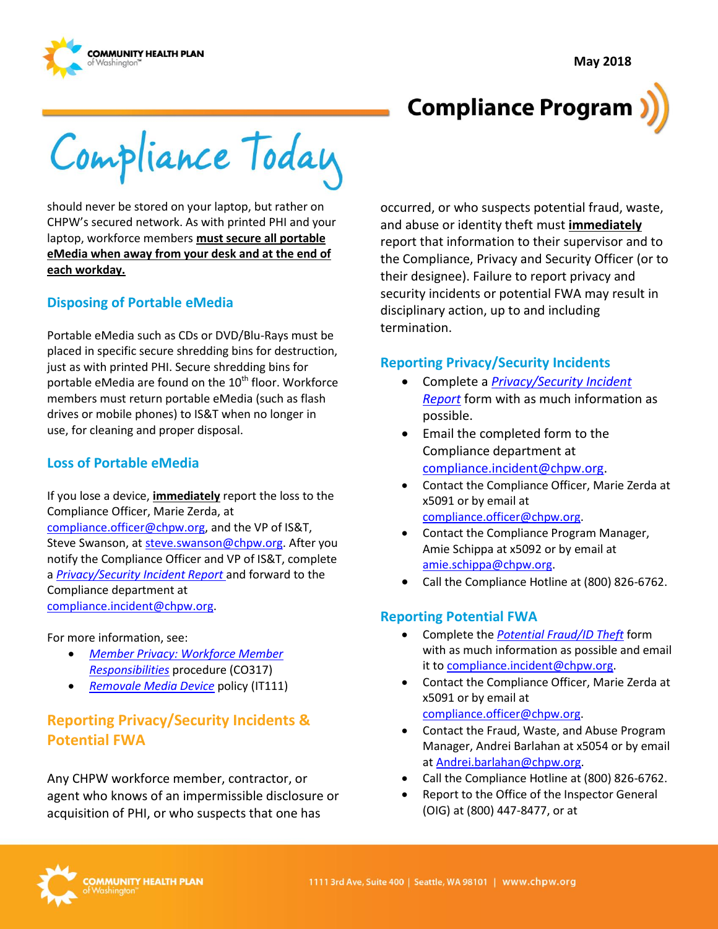**May 2018** 





Compliance Today

should never be stored on your laptop, but rather on CHPW's secured network. As with printed PHI and your laptop, workforce members **must secure all portable eMedia when away from your desk and at the end of each workday.** 

#### **Disposing of Portable eMedia**

Portable eMedia such as CDs or DVD/Blu-Rays must be placed in specific secure shredding bins for destruction, just as with printed PHI. Secure shredding bins for portable eMedia are found on the  $10<sup>th</sup>$  floor. Workforce members must return portable eMedia (such as flash drives or mobile phones) to IS&T when no longer in use, for cleaning and proper disposal.

#### **Loss of Portable eMedia**

If you lose a device, **immediately** report the loss to the Compliance Officer, Marie Zerda, at [compliance.officer@chpw.org,](mailto:compliance.officer@chpw.org) and the VP of IS&T,

Steve Swanson, at [steve.swanson@chpw.org.](mailto:steve.swanson@chpw.org) After you notify the Compliance Officer and VP of IS&T, complete a *[Privacy/Security Incident Report](http://chpsp/Comp/Compliance%20Forms/Internal%20Privacy%20Incident%20Report%20Form.docx)* and forward to the Compliance department at [compliance.incident@chpw.org.](mailto:compliance.incident@chpw.org)

For more information, see:

- *[Member Privacy: Workforce Member](http://chpsp/PP/Compliance/Member%20Privacy-Workforce%20Member%20Responsibilities%20Procedure%20-%20CO317.pdf)  [Responsibilities](http://chpsp/PP/Compliance/Member%20Privacy-Workforce%20Member%20Responsibilities%20Procedure%20-%20CO317.pdf)* procedure (CO317)
- *[Removale Media Device](http://chpsp/PP/IST/Removable%20Media%20Device%20Policy%20-%20IT111.pdf)* policy (IT111)

## **Reporting Privacy/Security Incidents & Potential FWA**

Any CHPW workforce member, contractor, or agent who knows of an impermissible disclosure or acquisition of PHI, or who suspects that one has

occurred, or who suspects potential fraud, waste, and abuse or identity theft must **immediately** report that information to their supervisor and to the Compliance, Privacy and Security Officer (or to their designee). Failure to report privacy and security incidents or potential FWA may result in disciplinary action, up to and including termination.

#### **Reporting Privacy/Security Incidents**

- Complete a *[Privacy/Security Incident](http://chpsp/Comp/Compliance%20Forms/Internal%20Privacy%20Incident%20Report%20Form.docx)  [Report](http://chpsp/Comp/Compliance%20Forms/Internal%20Privacy%20Incident%20Report%20Form.docx)* form with as much information as possible.
- Email the completed form to the Compliance department at [compliance.incident@chpw.org.](mailto:compliance.incident@chpw.org)
- Contact the Compliance Officer, Marie Zerda at x5091 or by email at [compliance.officer@chpw.org.](mailto:compliance.officer@chpw.org)
- Contact the Compliance Program Manager, Amie Schippa at x5092 or by email at [amie.schippa@chpw.org.](mailto:amie.schippa@chpw.org)
- Call the Compliance Hotline at (800) 826-6762.

#### **Reporting Potential FWA**

- Complete the *[Potential Fraud/ID Theft](http://chpsp/Comp/Compliance%20Forms/2017-09%20Form_Internal_Fraud_Reporting.pdf)* form with as much information as possible and email it to [compliance.incident@chpw.org.](mailto:compliance.incident@chpw.org)
- Contact the Compliance Officer, Marie Zerda at x5091 or by email at [compliance.officer@chpw.org.](mailto:compliance.officer@chpw.org)
- Contact the Fraud, Waste, and Abuse Program Manager, Andrei Barlahan at x5054 or by email at [Andrei.barlahan@chpw.org.](mailto:Andrei.barlahan@chpw.org)
- Call the Compliance Hotline at (800) 826-6762.
- Report to the Office of the Inspector General (OIG) at (800) 447-8477, or at

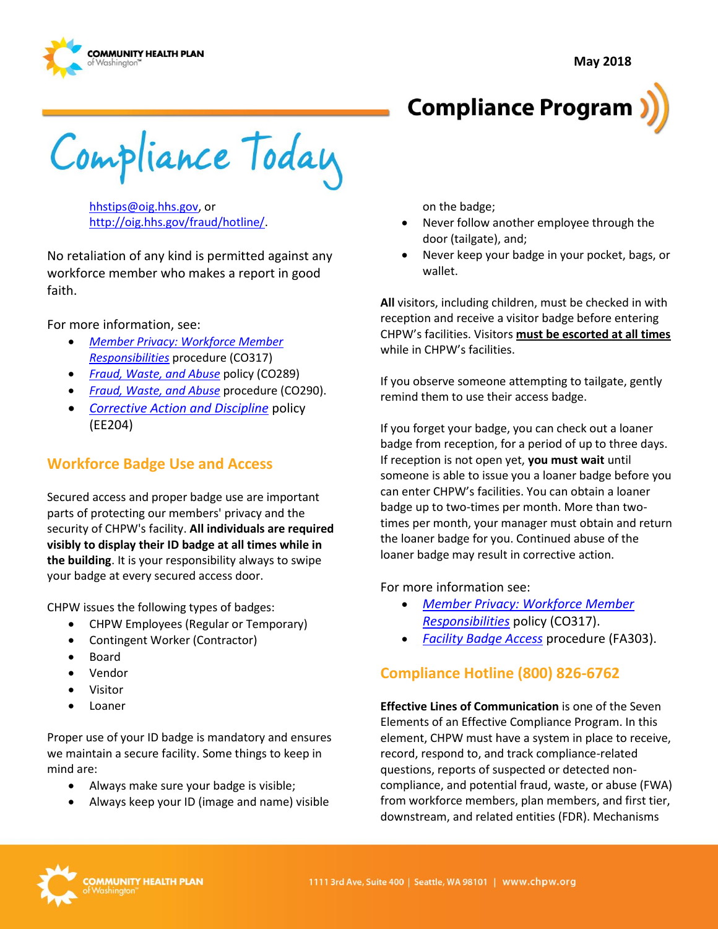





Compliance Today

[hhstips@oig.hhs.gov,](mailto:hhstips@oig.hhs.gov) or [http://oig.hhs.gov/fraud/hotline/.](http://oig.hhs.gov/fraud/hotline/)

No retaliation of any kind is permitted against any workforce member who makes a report in good faith.

For more information, see:

- *[Member Privacy: Workforce Member](http://chpsp/PP/Compliance/Member%20Privacy-Workforce%20Member%20Responsibilities%20Procedure%20-%20CO317.pdf)  [Responsibilities](http://chpsp/PP/Compliance/Member%20Privacy-Workforce%20Member%20Responsibilities%20Procedure%20-%20CO317.pdf)* procedure (CO317)
- *[Fraud, Waste, and Abuse](http://chpsp/PP/Compliance/Fraud,%20Waste,%20and%20Abuse%20Policy%20-%20CO289.pdf)* policy (CO289)
- *[Fraud, Waste, and Abuse](http://chpsp/PP/Compliance/Fraud,%20Waste,%20and%20Abuse%20Procedure%20-%20CO290.pdf)* procedure (CO290).
- *[Corrective Action and Discipline](http://chpsp/PP/Human%20Resources%20Employee%20PPs/Corrective%20Action%20and%20Discipline%20Policy%20-%20EE204.pdf)* policy (EE204)

## **Workforce Badge Use and Access**

Secured access and proper badge use are important parts of protecting our members' privacy and the security of CHPW's facility. **All individuals are required visibly to display their ID badge at all times while in the building**. It is your responsibility always to swipe your badge at every secured access door.

CHPW issues the following types of badges:

- CHPW Employees (Regular or Temporary)
- Contingent Worker (Contractor)
- Board
- Vendor
- Visitor
- $\bullet$  Loaner

Proper use of your ID badge is mandatory and ensures we maintain a secure facility. Some things to keep in mind are:

- Always make sure your badge is visible;
- Always keep your ID (image and name) visible

on the badge;

- Never follow another employee through the door (tailgate), and;
- Never keep your badge in your pocket, bags, or wallet.

**All** visitors, including children, must be checked in with reception and receive a visitor badge before entering CHPW's facilities. Visitors **must be escorted at all times**  while in CHPW's facilities.

If you observe someone attempting to tailgate, gently remind them to use their access badge.

If you forget your badge, you can check out a loaner badge from reception, for a period of up to three days. If reception is not open yet, **you must wait** until someone is able to issue you a loaner badge before you can enter CHPW's facilities. You can obtain a loaner badge up to two-times per month. More than twotimes per month, your manager must obtain and return the loaner badge for you. Continued abuse of the loaner badge may result in corrective action.

For more information see:

- *[Member Privacy: Workforce Member](http://chpsp/PP/Compliance/Member%20Privacy-Workforce%20Member%20Responsibilities%20Procedure%20-%20CO317.pdf)  [Responsibilities](http://chpsp/PP/Compliance/Member%20Privacy-Workforce%20Member%20Responsibilities%20Procedure%20-%20CO317.pdf)* policy (CO317).
- *[Facility Badge Access](http://chpsp/PP/Facilities/Facility%20Badge%20Access%20Procedure%20-%20FA303.pdf)* procedure (FA303).

## **Compliance Hotline (800) 826-6762**

**Effective Lines of Communication** is one of the Seven Elements of an Effective Compliance Program. In this element, CHPW must have a system in place to receive, record, respond to, and track compliance-related questions, reports of suspected or detected noncompliance, and potential fraud, waste, or abuse (FWA) from workforce members, plan members, and first tier, downstream, and related entities (FDR). Mechanisms